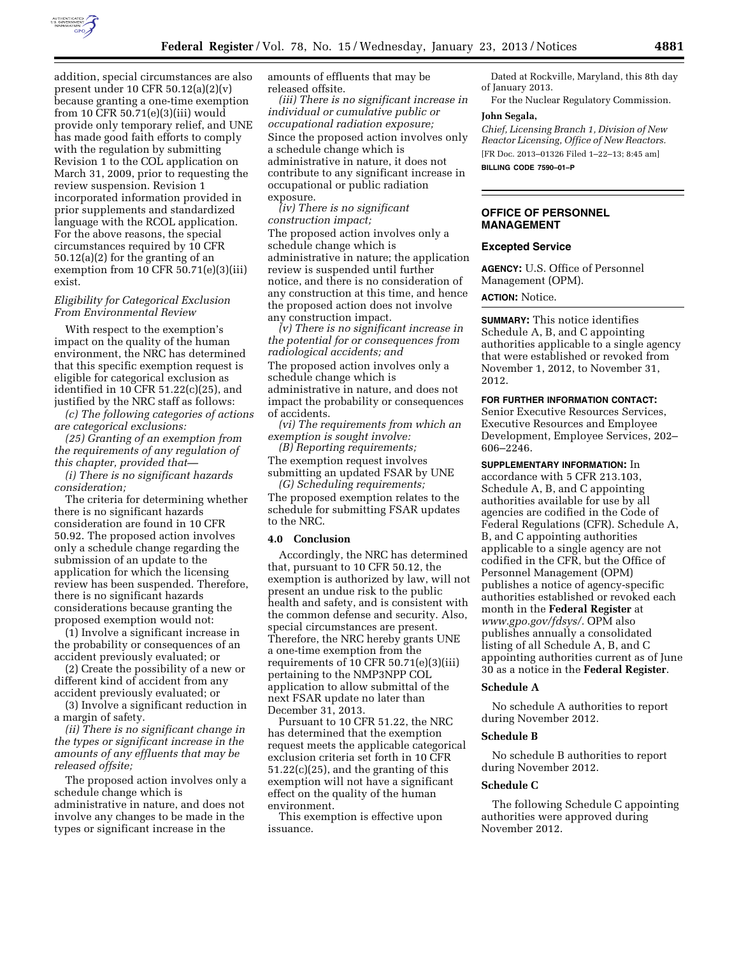

addition, special circumstances are also present under 10 CFR 50.12(a)(2)(v) because granting a one-time exemption from 10 CFR 50.71(e)(3)(iii) would provide only temporary relief, and UNE has made good faith efforts to comply with the regulation by submitting Revision 1 to the COL application on March 31, 2009, prior to requesting the review suspension. Revision 1 incorporated information provided in prior supplements and standardized language with the RCOL application. For the above reasons, the special circumstances required by 10 CFR 50.12(a)(2) for the granting of an exemption from 10 CFR 50.71(e)(3)(iii) exist.

## *Eligibility for Categorical Exclusion From Environmental Review*

With respect to the exemption's impact on the quality of the human environment, the NRC has determined that this specific exemption request is eligible for categorical exclusion as identified in 10 CFR 51.22(c)(25), and justified by the NRC staff as follows:

*(c) The following categories of actions are categorical exclusions:* 

*(25) Granting of an exemption from the requirements of any regulation of this chapter, provided that—* 

*(i) There is no significant hazards consideration;* 

The criteria for determining whether there is no significant hazards consideration are found in 10 CFR 50.92. The proposed action involves only a schedule change regarding the submission of an update to the application for which the licensing review has been suspended. Therefore, there is no significant hazards considerations because granting the proposed exemption would not:

(1) Involve a significant increase in the probability or consequences of an accident previously evaluated; or

(2) Create the possibility of a new or different kind of accident from any accident previously evaluated; or

(3) Involve a significant reduction in a margin of safety.

*(ii) There is no significant change in the types or significant increase in the amounts of any effluents that may be released offsite;* 

The proposed action involves only a schedule change which is administrative in nature, and does not involve any changes to be made in the types or significant increase in the

amounts of effluents that may be released offsite.

*(iii) There is no significant increase in individual or cumulative public or occupational radiation exposure;*  Since the proposed action involves only a schedule change which is administrative in nature, it does not contribute to any significant increase in occupational or public radiation exposure.

*(iv) There is no significant construction impact;*  The proposed action involves only a schedule change which is administrative in nature; the application review is suspended until further notice, and there is no consideration of any construction at this time, and hence the proposed action does not involve any construction impact.

*(v) There is no significant increase in the potential for or consequences from radiological accidents; and*  The proposed action involves only a schedule change which is administrative in nature, and does not impact the probability or consequences of accidents.

*(vi) The requirements from which an exemption is sought involve:* 

*(B) Reporting requirements;*  The exemption request involves submitting an updated FSAR by UNE

*(G) Scheduling requirements;*  The proposed exemption relates to the schedule for submitting FSAR updates to the NRC.

#### **4.0 Conclusion**

Accordingly, the NRC has determined that, pursuant to 10 CFR 50.12, the exemption is authorized by law, will not present an undue risk to the public health and safety, and is consistent with the common defense and security. Also, special circumstances are present. Therefore, the NRC hereby grants UNE a one-time exemption from the requirements of 10 CFR 50.71(e)(3)(iii) pertaining to the NMP3NPP COL application to allow submittal of the next FSAR update no later than December 31, 2013.

Pursuant to 10 CFR 51.22, the NRC has determined that the exemption request meets the applicable categorical exclusion criteria set forth in 10 CFR 51.22(c)(25), and the granting of this exemption will not have a significant effect on the quality of the human environment.

This exemption is effective upon issuance.

Dated at Rockville, Maryland, this 8th day of January 2013.

For the Nuclear Regulatory Commission.

## **John Segala,**

*Chief, Licensing Branch 1, Division of New Reactor Licensing, Office of New Reactors.*  [FR Doc. 2013–01326 Filed 1–22–13; 8:45 am] **BILLING CODE 7590–01–P** 

## **OFFICE OF PERSONNEL MANAGEMENT**

### **Excepted Service**

**AGENCY:** U.S. Office of Personnel Management (OPM).

# **ACTION:** Notice.

**SUMMARY:** This notice identifies Schedule A, B, and C appointing authorities applicable to a single agency that were established or revoked from November 1, 2012, to November 31, 2012.

**FOR FURTHER INFORMATION CONTACT:**  Senior Executive Resources Services, Executive Resources and Employee Development, Employee Services, 202– 606–2246.

**SUPPLEMENTARY INFORMATION:** In

accordance with 5 CFR 213.103, Schedule A, B, and C appointing authorities available for use by all agencies are codified in the Code of Federal Regulations (CFR). Schedule A, B, and C appointing authorities applicable to a single agency are not codified in the CFR, but the Office of Personnel Management (OPM) publishes a notice of agency-specific authorities established or revoked each month in the **Federal Register** at *[www.gpo.gov/fdsys/.](http://www.gpo.gov/fdsys/)* OPM also publishes annually a consolidated listing of all Schedule A, B, and C appointing authorities current as of June 30 as a notice in the **Federal Register**.

## **Schedule A**

No schedule A authorities to report during November 2012.

#### **Schedule B**

No schedule B authorities to report during November 2012.

#### **Schedule C**

The following Schedule C appointing authorities were approved during November 2012.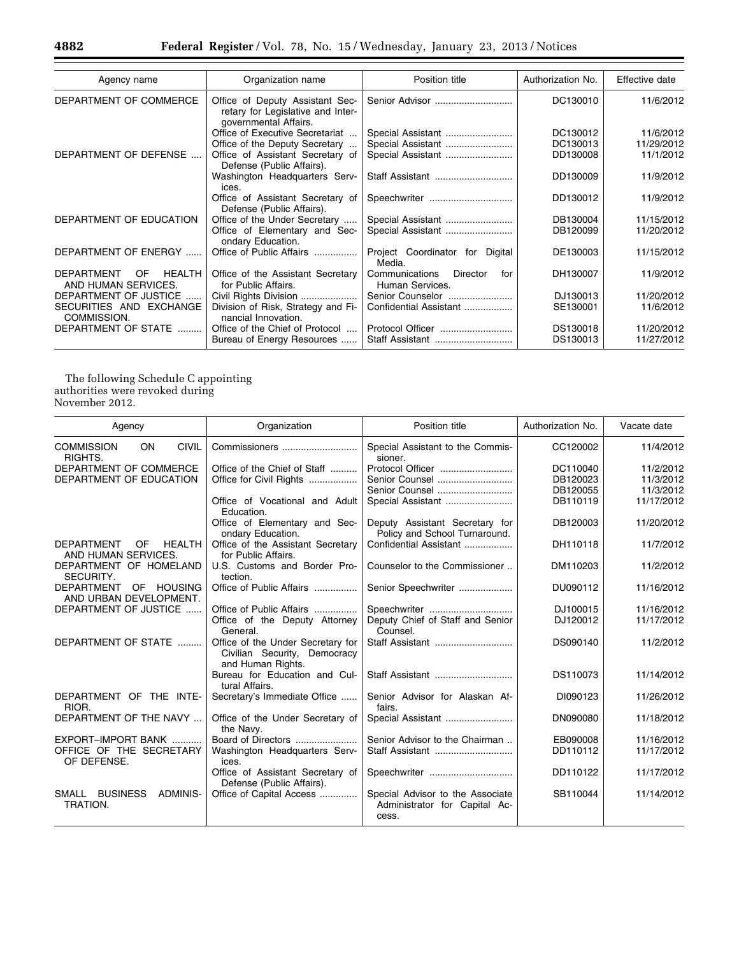eri

| Agency name                                                     | Organization name                                                                             | Position title                                       | Authorization No. | Effective date |
|-----------------------------------------------------------------|-----------------------------------------------------------------------------------------------|------------------------------------------------------|-------------------|----------------|
| DEPARTMENT OF COMMERCE                                          | Office of Deputy Assistant Sec-<br>retary for Legislative and Inter-<br>governmental Affairs. | Senior Advisor                                       | DC130010          | 11/6/2012      |
|                                                                 | Office of Executive Secretariat                                                               | Special Assistant                                    | DC130012          | 11/6/2012      |
|                                                                 | Office of the Deputy Secretary                                                                | Special Assistant                                    | DC130013          | 11/29/2012     |
| DEPARTMENT OF DEFENSE                                           | Office of Assistant Secretary of<br>Defense (Public Affairs).                                 | Special Assistant                                    | DD130008          | 11/1/2012      |
|                                                                 | Washington Headquarters Serv-<br>ices.                                                        | Staff Assistant                                      | DD130009          | 11/9/2012      |
|                                                                 | Office of Assistant Secretary of<br>Defense (Public Affairs).                                 | Speechwriter                                         | DD130012          | 11/9/2012      |
| DEPARTMENT OF EDUCATION                                         | Office of the Under Secretary                                                                 |                                                      | DB130004          | 11/15/2012     |
|                                                                 | Office of Elementary and Sec-<br>ondary Education.                                            | Special Assistant                                    | DB120099          | 11/20/2012     |
| DEPARTMENT OF ENERGY                                            | Office of Public Affairs                                                                      | Project Coordinator for Digital<br>Media.            | DE130003          | 11/15/2012     |
| <b>DEPARTMENT</b><br><b>OF</b><br>HEALTH<br>AND HUMAN SERVICES. | Office of the Assistant Secretary<br>for Public Affairs.                                      | Communications<br>Director<br>for<br>Human Services. | DH130007          | 11/9/2012      |
| DEPARTMENT OF JUSTICE                                           | Civil Rights Division                                                                         | Senior Counselor                                     | DJ130013          | 11/20/2012     |
| SECURITIES AND EXCHANGE<br>COMMISSION.                          | Division of Risk, Strategy and Fi-<br>nancial Innovation.                                     | Confidential Assistant                               | SE130001          | 11/6/2012      |
| DEPARTMENT OF STATE                                             | Office of the Chief of Protocol                                                               | Protocol Officer                                     | DS130018          | 11/20/2012     |
|                                                                 | Bureau of Energy Resources                                                                    | Staff Assistant                                      | DS130013          | 11/27/2012     |

The following Schedule C appointing authorities were revoked during November 2012.

| Agency                                                               | Organization                                                                           | Position title                                                             | Authorization No. | Vacate date |
|----------------------------------------------------------------------|----------------------------------------------------------------------------------------|----------------------------------------------------------------------------|-------------------|-------------|
| ON<br><b>CIVIL</b><br><b>COMMISSION</b><br>RIGHTS.                   | Commissioners                                                                          | Special Assistant to the Commis-<br>sioner.                                | CC120002          | 11/4/2012   |
| DEPARTMENT OF COMMERCE                                               | Office of the Chief of Staff                                                           | Protocol Officer                                                           | DC110040          | 11/2/2012   |
| DEPARTMENT OF EDUCATION                                              | Office for Civil Rights                                                                | Senior Counsel                                                             | DB120023          | 11/3/2012   |
|                                                                      |                                                                                        | Senior Counsel                                                             | DB120055          | 11/3/2012   |
|                                                                      | Office of Vocational and Adult<br>Education.                                           | Special Assistant                                                          | DB110119          | 11/17/2012  |
|                                                                      | Office of Elementary and Sec-<br>ondary Education.                                     | Deputy Assistant Secretary for<br>Policy and School Turnaround.            | DB120003          | 11/20/2012  |
| <b>HEALTH</b><br><b>DEPARTMENT</b><br>0F<br>AND HUMAN SERVICES.      | Office of the Assistant Secretary<br>for Public Affairs.                               | Confidential Assistant                                                     | DH110118          | 11/7/2012   |
| DEPARTMENT OF HOMELAND<br>SECURITY.                                  | U.S. Customs and Border Pro-<br>tection.                                               | Counselor to the Commissioner                                              | DM110203          | 11/2/2012   |
| <b>HOUSING</b><br><b>DEPARTMENT</b><br>OF.<br>AND URBAN DEVELOPMENT. | Office of Public Affairs                                                               | Senior Speechwriter                                                        | DU090112          | 11/16/2012  |
| DEPARTMENT OF JUSTICE                                                | Office of Public Affairs                                                               | Speechwriter                                                               | DJ100015          | 11/16/2012  |
|                                                                      | Office of the Deputy Attorney<br>General.                                              | Deputy Chief of Staff and Senior<br>Counsel.                               | DJ120012          | 11/17/2012  |
| DEPARTMENT OF STATE                                                  | Office of the Under Secretary for<br>Civilian Security, Democracy<br>and Human Rights. | Staff Assistant                                                            | DS090140          | 11/2/2012   |
|                                                                      | Bureau for Education and Cul-<br>tural Affairs.                                        | Staff Assistant                                                            | DS110073          | 11/14/2012  |
| DEPARTMENT OF THE INTE-<br>RIOR.                                     | Secretary's Immediate Office                                                           | Senior Advisor for Alaskan Af-<br>fairs.                                   | DI090123          | 11/26/2012  |
| DEPARTMENT OF THE NAVY                                               | Office of the Under Secretary of<br>the Navy.                                          | Special Assistant                                                          | DN090080          | 11/18/2012  |
| EXPORT-IMPORT BANK                                                   | Board of Directors                                                                     | Senior Advisor to the Chairman                                             | EB090008          | 11/16/2012  |
| OFFICE OF THE SECRETARY<br>OF DEFENSE.                               | Washington Headquarters Serv-<br>ices.                                                 | Staff Assistant                                                            | DD110112          | 11/17/2012  |
|                                                                      | Office of Assistant Secretary of<br>Defense (Public Affairs).                          | Speechwriter                                                               | DD110122          | 11/17/2012  |
| <b>BUSINESS</b><br>ADMINIS-<br>SMALL<br>TRATION.                     | Office of Capital Access                                                               | Special Advisor to the Associate<br>Administrator for Capital Ac-<br>cess. | SB110044          | 11/14/2012  |

Ξ